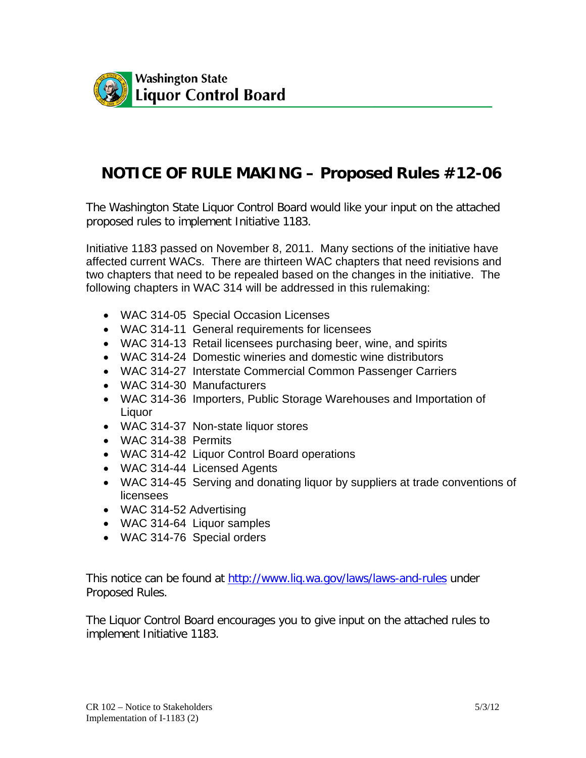

## **NOTICE OF RULE MAKING – Proposed Rules #12-06**

The Washington State Liquor Control Board would like your input on the attached proposed rules to implement Initiative 1183.

Initiative 1183 passed on November 8, 2011. Many sections of the initiative have affected current WACs. There are thirteen WAC chapters that need revisions and two chapters that need to be repealed based on the changes in the initiative. The following chapters in WAC 314 will be addressed in this rulemaking:

- WAC 314-05 Special Occasion Licenses
- WAC 314-11 General requirements for licensees
- WAC 314-13 Retail licensees purchasing beer, wine, and spirits
- WAC 314-24 Domestic wineries and domestic wine distributors
- WAC 314-27 Interstate Commercial Common Passenger Carriers
- WAC 314-30 Manufacturers
- WAC 314-36 Importers, Public Storage Warehouses and Importation of Liquor
- WAC 314-37 Non-state liquor stores
- WAC 314-38 Permits
- WAC 314-42 Liquor Control Board operations
- WAC 314-44 Licensed Agents
- WAC 314-45 Serving and donating liquor by suppliers at trade conventions of licensees
- WAC 314-52 Advertising
- WAC 314-64 Liquor samples
- WAC 314-76 Special orders

This notice can be found at<http://www.liq.wa.gov/laws/laws-and-rules> under Proposed Rules.

The Liquor Control Board encourages you to give input on the attached rules to implement Initiative 1183.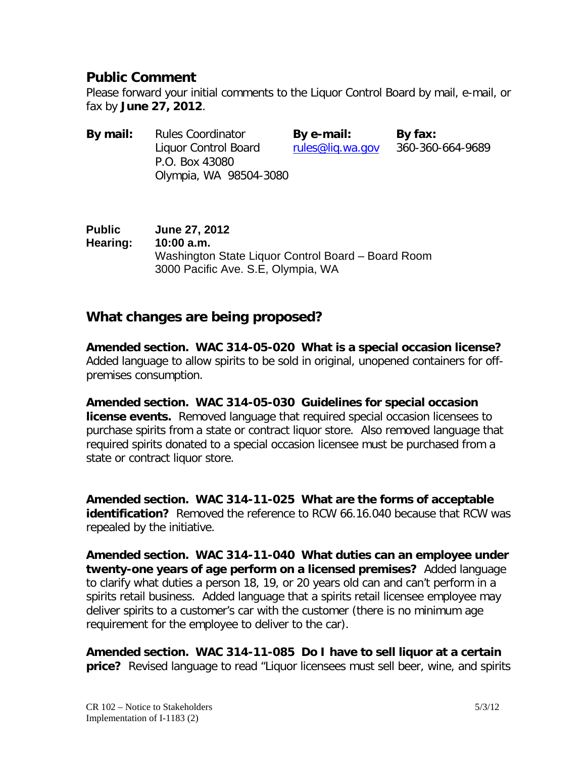## **Public Comment**

Please forward your initial comments to the Liquor Control Board by mail, e-mail, or fax by **June 27, 2012**.

| By mail: | <b>Rules Coordinator</b> | By e-mail:       | By fax:          |
|----------|--------------------------|------------------|------------------|
|          | Liquor Control Board     | rules@lig.wa.gov | 360-360-664-9689 |
|          | P.O. Box 43080           |                  |                  |
|          | Olympia, WA 98504-3080   |                  |                  |

**Public June 27, 2012 Hearing: 10:00 a.m.** Washington State Liquor Control Board – Board Room 3000 Pacific Ave. S.E, Olympia, WA

## **What changes are being proposed?**

**Amended section. WAC 314-05-020 What is a special occasion license?**  Added language to allow spirits to be sold in original, unopened containers for offpremises consumption.

**Amended section. WAC 314-05-030 Guidelines for special occasion license events.** Removed language that required special occasion licensees to purchase spirits from a state or contract liquor store. Also removed language that required spirits donated to a special occasion licensee must be purchased from a state or contract liquor store.

**Amended section. WAC 314-11-025 What are the forms of acceptable identification?** Removed the reference to RCW 66.16.040 because that RCW was repealed by the initiative.

**Amended section. WAC 314-11-040 What duties can an employee under twenty-one years of age perform on a licensed premises?** Added language to clarify what duties a person 18, 19, or 20 years old can and can't perform in a spirits retail business. Added language that a spirits retail licensee employee may deliver spirits to a customer's car with the customer (there is no minimum age requirement for the employee to deliver to the car).

**Amended section. WAC 314-11-085 Do I have to sell liquor at a certain price?** Revised language to read "Liquor licensees must sell beer, wine, and spirits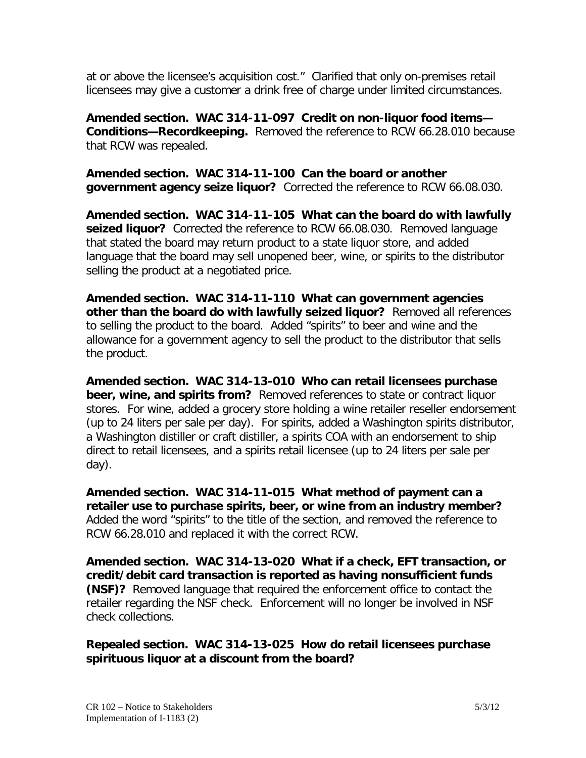at or above the licensee's acquisition cost." Clarified that only on-premises retail licensees may give a customer a drink free of charge under limited circumstances.

**Amended section. WAC 314-11-097 Credit on non-liquor food items— Conditions—Recordkeeping.** Removed the reference to RCW 66.28.010 because that RCW was repealed.

**Amended section. WAC 314-11-100 Can the board or another government agency seize liquor?** Corrected the reference to RCW 66.08.030.

**Amended section. WAC 314-11-105 What can the board do with lawfully seized liquor?** Corrected the reference to RCW 66.08.030. Removed language that stated the board may return product to a state liquor store, and added language that the board may sell unopened beer, wine, or spirits to the distributor selling the product at a negotiated price.

**Amended section. WAC 314-11-110 What can government agencies other than the board do with lawfully seized liquor?** Removed all references to selling the product to the board. Added "spirits" to beer and wine and the allowance for a government agency to sell the product to the distributor that sells the product.

**Amended section. WAC 314-13-010 Who can retail licensees purchase beer, wine, and spirits from?** Removed references to state or contract liquor stores. For wine, added a grocery store holding a wine retailer reseller endorsement (up to 24 liters per sale per day). For spirits, added a Washington spirits distributor, a Washington distiller or craft distiller, a spirits COA with an endorsement to ship direct to retail licensees, and a spirits retail licensee (up to 24 liters per sale per day).

**Amended section. WAC 314-11-015 What method of payment can a retailer use to purchase spirits, beer, or wine from an industry member?** Added the word "spirits" to the title of the section, and removed the reference to RCW 66.28.010 and replaced it with the correct RCW.

**Amended section. WAC 314-13-020 What if a check, EFT transaction, or credit/debit card transaction is reported as having nonsufficient funds (NSF)?** Removed language that required the enforcement office to contact the retailer regarding the NSF check. Enforcement will no longer be involved in NSF check collections.

**Repealed section. WAC 314-13-025 How do retail licensees purchase spirituous liquor at a discount from the board?**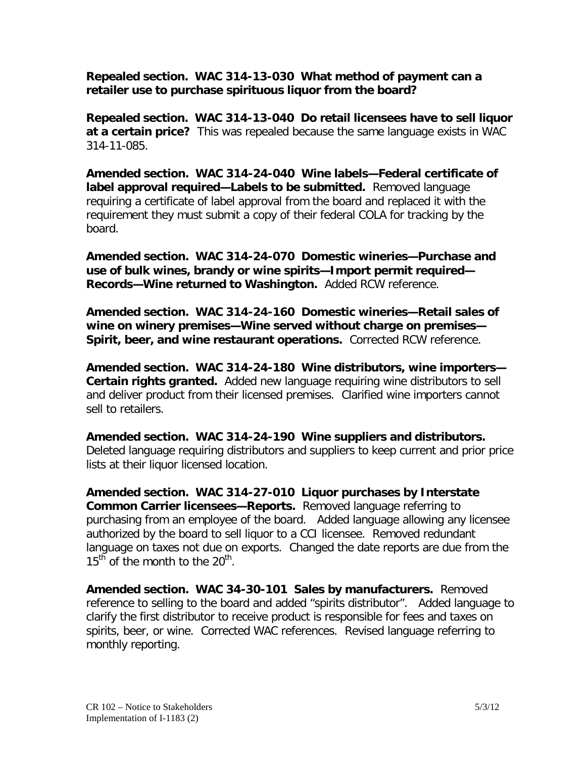**Repealed section. WAC 314-13-030 What method of payment can a retailer use to purchase spirituous liquor from the board?**

**Repealed section. WAC 314-13-040 Do retail licensees have to sell liquor at a certain price?** This was repealed because the same language exists in WAC 314-11-085.

**Amended section. WAC 314-24-040 Wine labels—Federal certificate of label approval required—Labels to be submitted.** Removed language requiring a certificate of label approval from the board and replaced it with the requirement they must submit a copy of their federal COLA for tracking by the board.

**Amended section. WAC 314-24-070 Domestic wineries—Purchase and use of bulk wines, brandy or wine spirits—Import permit required— Records—Wine returned to Washington.** Added RCW reference.

**Amended section. WAC 314-24-160 Domestic wineries—Retail sales of wine on winery premises—Wine served without charge on premises— Spirit, beer, and wine restaurant operations.** Corrected RCW reference.

**Amended section. WAC 314-24-180 Wine distributors, wine importers— Certain rights granted.** Added new language requiring wine distributors to sell and deliver product from their licensed premises. Clarified wine importers cannot sell to retailers.

**Amended section. WAC 314-24-190 Wine suppliers and distributors.** Deleted language requiring distributors and suppliers to keep current and prior price lists at their liquor licensed location.

**Amended section. WAC 314-27-010 Liquor purchases by Interstate Common Carrier licensees—Reports.** Removed language referring to purchasing from an employee of the board. Added language allowing any licensee authorized by the board to sell liquor to a CCI licensee. Removed redundant language on taxes not due on exports. Changed the date reports are due from the  $15<sup>th</sup>$  of the month to the  $20<sup>th</sup>$ .

**Amended section. WAC 34-30-101 Sales by manufacturers.** Removed reference to selling to the board and added "spirits distributor". Added language to clarify the first distributor to receive product is responsible for fees and taxes on spirits, beer, or wine. Corrected WAC references. Revised language referring to monthly reporting.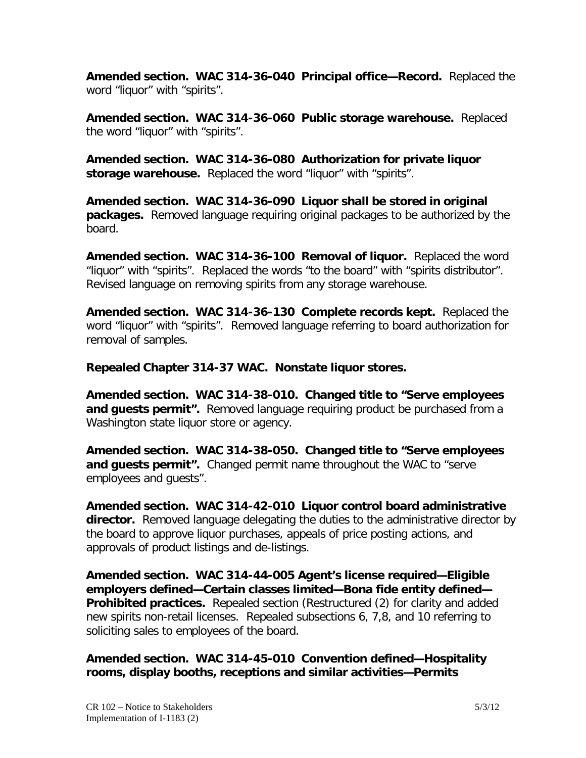**Amended section. WAC 314-36-040 Principal office—Record.** Replaced the word "liquor" with "spirits".

**Amended section. WAC 314-36-060 Public storage warehouse.** Replaced the word "liquor" with "spirits".

**Amended section. WAC 314-36-080 Authorization for private liquor**  storage warehouse. Replaced the word "liquor" with "spirits".

**Amended section. WAC 314-36-090 Liquor shall be stored in original packages.** Removed language requiring original packages to be authorized by the board.

**Amended section. WAC 314-36-100 Removal of liquor.** Replaced the word "liquor" with "spirits". Replaced the words "to the board" with "spirits distributor". Revised language on removing spirits from any storage warehouse.

**Amended section. WAC 314-36-130 Complete records kept.** Replaced the word "liquor" with "spirits". Removed language referring to board authorization for removal of samples.

**Repealed Chapter 314-37 WAC. Nonstate liquor stores.**

**Amended section. WAC 314-38-010. Changed title to "Serve employees and guests permit".** Removed language requiring product be purchased from a Washington state liquor store or agency.

**Amended section. WAC 314-38-050. Changed title to "Serve employees and guests permit".** Changed permit name throughout the WAC to "serve employees and guests".

**Amended section. WAC 314-42-010 Liquor control board administrative director.** Removed language delegating the duties to the administrative director by the board to approve liquor purchases, appeals of price posting actions, and approvals of product listings and de-listings.

**Amended section. WAC 314-44-005 Agent's license required—Eligible employers defined—Certain classes limited—Bona fide entity defined— Prohibited practices.** Repealed section (Restructured (2) for clarity and added new spirits non-retail licenses. Repealed subsections 6, 7,8, and 10 referring to soliciting sales to employees of the board.

**Amended section. WAC 314-45-010 Convention defined—Hospitality rooms, display booths, receptions and similar activities—Permits**